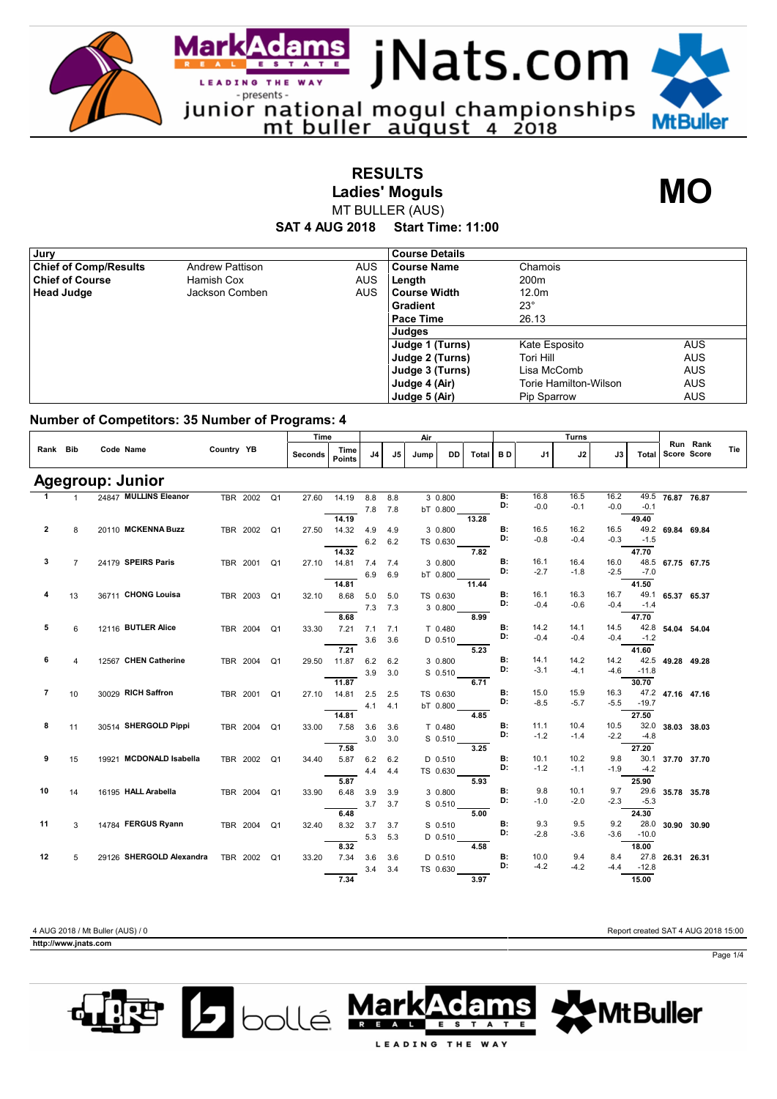

**RESULTS Ladies' Moguls**

**MO**

**SAT 4 AUG 2018 Start Time: 11:00** MT BULLER (AUS)

| , Jury                       |                        |            | <b>Course Details</b> |                       |            |
|------------------------------|------------------------|------------|-----------------------|-----------------------|------------|
| <b>Chief of Comp/Results</b> | <b>Andrew Pattison</b> | <b>AUS</b> | <b>Course Name</b>    | Chamois               |            |
| <b>Chief of Course</b>       | Hamish Cox             | <b>AUS</b> | Length                | 200 <sub>m</sub>      |            |
| <b>Head Judge</b>            | Jackson Comben         | <b>AUS</b> | l Course Width        | 12.0 <sub>m</sub>     |            |
|                              |                        |            | <b>Gradient</b>       | $23^\circ$            |            |
|                              |                        |            | <b>Pace Time</b>      | 26.13                 |            |
|                              |                        |            | Judges                |                       |            |
|                              |                        |            | Judge 1 (Turns)       | Kate Esposito         | <b>AUS</b> |
|                              |                        |            | Judge 2 (Turns)       | Tori Hill             | <b>AUS</b> |
|                              |                        |            | Judge 3 (Turns)       | Lisa McComb           | <b>AUS</b> |
|                              |                        |            | Judge 4 (Air)         | Torie Hamilton-Wilson | <b>AUS</b> |
|                              |                        |            | Judge 5 (Air)         | Pip Sparrow           | <b>AUS</b> |

## **Number of Competitors: 35 Number of Programs: 4**

|                |                |                          |            |             |                | Time           |                       | Air |                |      |          |              |           |        | Turns  |        |         |                         |     |
|----------------|----------------|--------------------------|------------|-------------|----------------|----------------|-----------------------|-----|----------------|------|----------|--------------|-----------|--------|--------|--------|---------|-------------------------|-----|
| Rank Bib       |                | Code Name                | Country YB |             |                | <b>Seconds</b> | Time<br><b>Points</b> | J4  | J <sub>5</sub> | Jump | DD       | <b>Total</b> | <b>BD</b> | J1     | J2     | J3     | Total   | Run Rank<br>Score Score | Tie |
|                |                | <b>Agegroup: Junior</b>  |            |             |                |                |                       |     |                |      |          |              |           |        |        |        |         |                         |     |
| $\mathbf{1}$   | $\mathbf{1}$   | 24847 MULLINS Eleanor    |            | TBR 2002 Q1 |                | 27.60          | 14.19                 | 8.8 | 8.8            |      | 3 0.800  |              | В:        | 16.8   | 16.5   | 16.2   | 49.5    | 76.87 76.87             |     |
|                |                |                          |            |             |                |                |                       | 7.8 | 7.8            |      | bT 0.800 |              | D:        | $-0.0$ | $-0.1$ | $-0.0$ | $-0.1$  |                         |     |
|                |                |                          |            |             |                |                | 14.19                 |     |                |      |          | 13.28        |           |        |        |        | 49.40   |                         |     |
| $\overline{2}$ | 8              | 20110 MCKENNA Buzz       |            | TBR 2002 Q1 |                | 27.50          | 14.32                 | 4.9 | 4.9            |      | 3 0.800  |              | <b>B:</b> | 16.5   | 16.2   | 16.5   |         | 49.2 69.84 69.84        |     |
|                |                |                          |            |             |                |                |                       | 6.2 | 6.2            |      | TS 0.630 |              | D:        | $-0.8$ | $-0.4$ | $-0.3$ | $-1.5$  |                         |     |
|                |                |                          |            |             |                |                | 14.32                 |     |                |      |          | 7.82         |           |        |        |        | 47.70   |                         |     |
| 3              | $\overline{7}$ | 24179 SPEIRS Paris       |            | TBR 2001    | Q <sub>1</sub> | 27.10          | 14.81                 | 7.4 | 7.4            |      | 3 0.800  |              | <b>B:</b> | 16.1   | 16.4   | 16.0   | 48.5    | 67.75 67.75             |     |
|                |                |                          |            |             |                |                |                       | 6.9 | 6.9            |      | bT 0.800 |              | D:        | $-2.7$ | $-1.8$ | $-2.5$ | $-7.0$  |                         |     |
|                |                |                          |            |             |                |                | 14.81                 |     |                |      |          | 11.44        |           |        |        |        | 41.50   |                         |     |
| 4              | 13             | 36711 CHONG Louisa       |            | TBR 2003    | Q1             | 32.10          | 8.68                  | 5.0 | 5.0            |      | TS 0.630 |              | <b>B:</b> | 16.1   | 16.3   | 16.7   | 49.1    | 65.37 65.37             |     |
|                |                |                          |            |             |                |                |                       | 7.3 | 7.3            |      | 3 0.800  |              | D:        | $-0.4$ | $-0.6$ | $-0.4$ | $-1.4$  |                         |     |
|                |                |                          |            |             |                |                | 8.68                  |     |                |      |          | 8.99         |           |        |        |        | 47.70   |                         |     |
| 5              | 6              | 12116 BUTLER Alice       |            | TBR 2004    | Q <sub>1</sub> | 33.30          | 7.21                  | 7.1 | 7.1            |      | T 0.480  |              | <b>B:</b> | 14.2   | 14.1   | 14.5   | 42.8    | 54.04 54.04             |     |
|                |                |                          |            |             |                |                |                       | 3.6 | 3.6            |      | D 0.510  |              | D:        | $-0.4$ | $-0.4$ | $-0.4$ | $-1.2$  |                         |     |
|                |                |                          |            |             |                |                | 7.21                  |     |                |      |          | 5.23         |           |        |        |        | 41.60   |                         |     |
| 6              | 4              | 12567 CHEN Catherine     |            | TBR 2004    | Q <sub>1</sub> | 29.50          | 11.87                 | 6.2 | 6.2            |      | 3 0.800  |              | <b>B:</b> | 14.1   | 14.2   | 14.2   | 42.5    | 49.28 49.28             |     |
|                |                |                          |            |             |                |                |                       | 3.9 | 3.0            |      | S 0.510  |              | D:        | $-3.1$ | $-4.1$ | -4.6   | $-11.8$ |                         |     |
|                |                |                          |            |             |                |                | 11.87                 |     |                |      |          | 6.71         |           |        |        |        | 30.70   |                         |     |
| $\overline{7}$ | 10             | 30029 RICH Saffron       |            | TBR 2001    | Q <sub>1</sub> | 27.10          | 14.81                 | 2.5 | 2.5            |      | TS 0.630 |              | <b>B:</b> | 15.0   | 15.9   | 16.3   |         | 47.2 47.16 47.16        |     |
|                |                |                          |            |             |                |                |                       | 4.1 | 4.1            |      | bT 0.800 |              | D:        | $-8.5$ | $-5.7$ | $-5.5$ | $-19.7$ |                         |     |
|                |                |                          |            |             |                |                | 14.81                 |     |                |      |          | 4.85         |           |        |        |        | 27.50   |                         |     |
| 8              | 11             | 30514 SHERGOLD Pippi     |            | TBR 2004    | Q1             | 33.00          | 7.58                  | 3.6 | 3.6            |      | T 0.480  |              | B:        | 11.1   | 10.4   | 10.5   | 32.0    | 38.03 38.03             |     |
|                |                |                          |            |             |                |                |                       | 3.0 | 3.0            |      | S 0.510  |              | D:        | $-1.2$ | $-1.4$ | $-2.2$ | $-4.8$  |                         |     |
|                |                |                          |            |             |                |                | 7.58                  |     |                |      |          | 3.25         |           |        |        |        | 27.20   |                         |     |
| 9              | 15             | 19921 MCDONALD Isabella  |            | TBR 2002    | Q1             | 34.40          | 5.87                  | 6.2 | 6.2            |      | D 0.510  |              | <b>B:</b> | 10.1   | 10.2   | 9.8    | 30.1    | 37.70 37.70             |     |
|                |                |                          |            |             |                |                |                       | 4.4 | 4.4            |      | TS 0.630 |              | D:        | $-1.2$ | $-1.1$ | $-1.9$ | $-4.2$  |                         |     |
|                |                |                          |            |             |                |                | 5.87                  |     |                |      |          | 5.93         |           |        |        |        | 25.90   |                         |     |
| 10             | 14             | 16195 HALL Arabella      |            | TBR 2004    | Q <sub>1</sub> | 33.90          | 6.48                  | 3.9 | 3.9            |      | 3 0.800  |              | <b>B:</b> | 9.8    | 10.1   | 9.7    | 29.6    | 35.78 35.78             |     |
|                |                |                          |            |             |                |                |                       | 3.7 | 3.7            |      | S 0.510  |              | D:        | $-1.0$ | $-2.0$ | $-2.3$ | $-5.3$  |                         |     |
|                |                |                          |            |             |                |                | 6.48                  |     |                |      |          | 5.00         |           |        |        |        | 24.30   |                         |     |
| 11             | 3              | 14784 FERGUS Ryann       |            | TBR 2004    | Q <sub>1</sub> | 32.40          | 8.32                  | 3.7 | 3.7            |      | S 0.510  |              | B:        | 9.3    | 9.5    | 9.2    | 28.0    | 30.90 30.90             |     |
|                |                |                          |            |             |                |                |                       | 5.3 | 5.3            |      | D 0.510  |              | D:        | $-2.8$ | $-3.6$ | $-3.6$ | $-10.0$ |                         |     |
|                |                |                          |            |             |                |                | 8.32                  |     |                |      |          | 4.58         |           |        |        |        | 18.00   |                         |     |
| 12             | 5              | 29126 SHERGOLD Alexandra |            | TBR 2002    | Q1             | 33.20          | 7.34                  | 3.6 | 3.6            |      | D 0.510  |              | <b>B:</b> | 10.0   | 9.4    | 8.4    | 27.8    | 26.31 26.31             |     |
|                |                |                          |            |             |                |                |                       | 3.4 | 3.4            |      | TS 0.630 |              | D:        | $-4.2$ | $-4.2$ | $-4.4$ | $-12.8$ |                         |     |
|                |                |                          |            |             |                |                | 7.34                  |     |                |      |          | 3.97         |           |        |        |        | 15.00   |                         |     |

**http://www.jnats.com** 

4 AUG 2018 / Mt Buller (AUS) / 0 Report created SAT 4 AUG 2018 15:00

Page 1/4



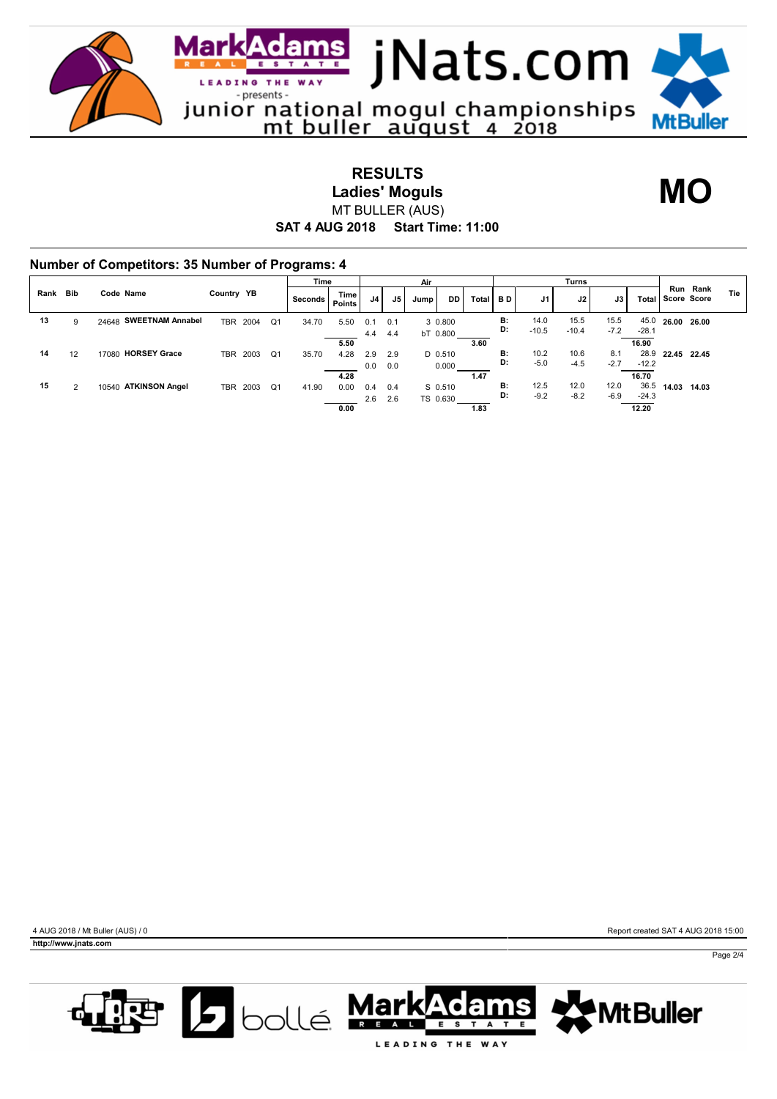

**RESULTS Ladies' Moguls** MT BULLER (AUS)

**MO**

## **SAT 4 AUG 2018 Start Time: 11:00**

|      |                |                        |            |          |    | Time    |                |            |            | Air  |                     |       | Turns     |                 |                 |                |                          |                     |          |     |
|------|----------------|------------------------|------------|----------|----|---------|----------------|------------|------------|------|---------------------|-------|-----------|-----------------|-----------------|----------------|--------------------------|---------------------|----------|-----|
| Rank | <b>Bib</b>     | Code Name              | Country YB |          |    | Seconds | Time<br>Points | J4         | J5         | Jump | DD                  | Total | <b>BD</b> | J1              | J2              | J3             |                          | Total   Score Score | Run Rank | Tie |
| 13   | 9              | 24648 SWEETNAM Annabel |            | TBR 2004 | Q1 | 34.70   | 5.50           | 0.1<br>4.4 | 0.1<br>4.4 |      | 3 0.800<br>bT 0.800 |       | B:<br>D:  | 14.0<br>$-10.5$ | 15.5<br>$-10.4$ | 15.5<br>$-7.2$ | 45.0<br>$-28.1$          | 26.00 26.00         |          |     |
| 14   | 12             | 17080 HORSEY Grace     | TBR        | 2003     | Q1 | 35.70   | 5.50<br>4.28   | 2.9<br>0.0 | 2.9<br>0.0 |      | D 0.510<br>0.000    | 3.60  | B:<br>D:  | 10.2<br>$-5.0$  | 10.6<br>$-4.5$  | 8.1<br>$-2.7$  | 16.90<br>28.9<br>$-12.2$ | 22.45 22.45         |          |     |
| 15   | $\overline{2}$ | 10540 ATKINSON Angel   | TBR        | 2003     | Q1 | 41.90   | 4.28<br>0.00   | 0.4<br>2.6 | 0.4<br>2.6 |      | S 0.510<br>TS 0.630 | 1.47  | B:<br>D:  | 12.5<br>$-9.2$  | 12.0<br>$-8.2$  | 12.0<br>$-6.9$ | 16.70<br>36.5<br>$-24.3$ | 14.03               | 14.03    |     |



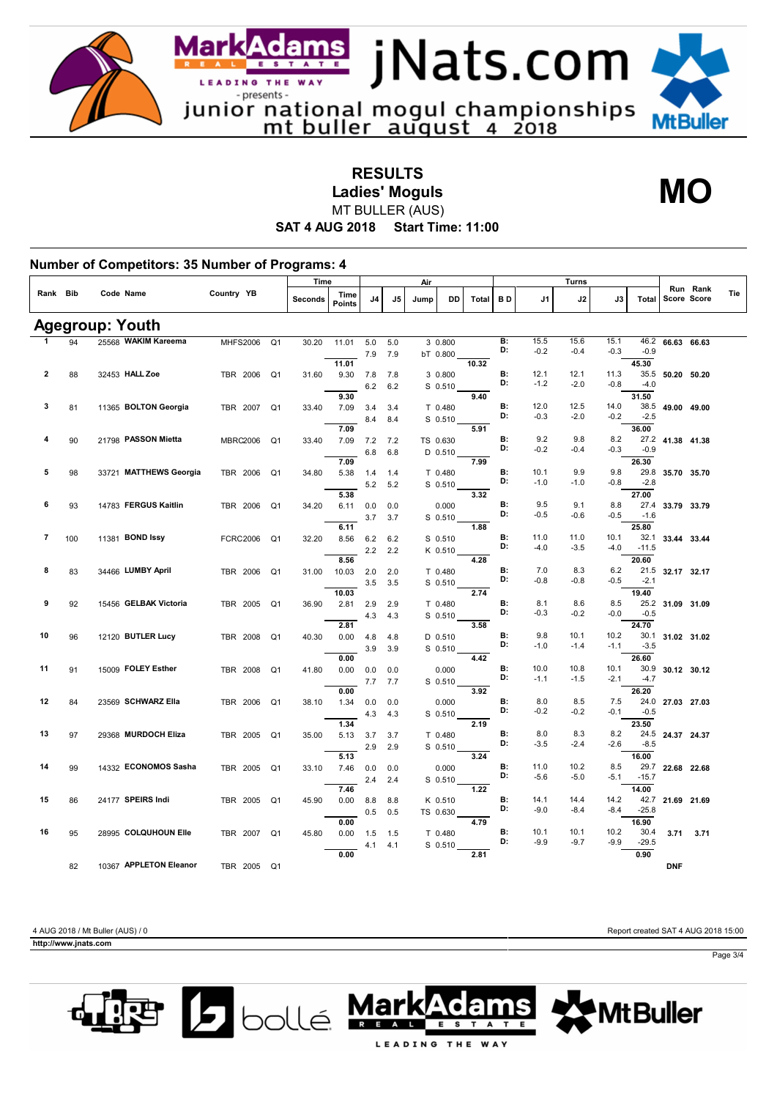

**RESULTS Ladies' Moguls**

<u>dams </u>

**MO**

**SAT 4 AUG 2018 Start Time: 11:00** MT BULLER (AUS)

|          |     |                        | Country YB      |                | Time    |                |            |            | Air  |                      |       | Turns    |                |                |                |                  |                  |                         |     |
|----------|-----|------------------------|-----------------|----------------|---------|----------------|------------|------------|------|----------------------|-------|----------|----------------|----------------|----------------|------------------|------------------|-------------------------|-----|
| Rank Bib |     | Code Name              |                 |                | Seconds | Time<br>Points | J4         | J5         | Jump | DD                   | Total | BD       | J1             | J2             | J3             | Total            |                  | Run Rank<br>Score Score | Tie |
|          |     | <b>Agegroup: Youth</b> |                 |                |         |                |            |            |      |                      |       |          |                |                |                |                  |                  |                         |     |
|          | 94  | 25568 WAKIM Kareema    | <b>MHFS2006</b> | Q <sub>1</sub> | 30.20   | 11.01          | 5.0        | 5.0        |      | 3 0.800              |       | B:       | 15.5           | 15.6           | 15.1           | 46.2             | 66.63 66.63      |                         |     |
|          |     |                        |                 |                |         |                | 7.9        | 7.9        |      | bT 0.800             |       | D:       | $-0.2$         | $-0.4$         | $-0.3$         | $-0.9$           |                  |                         |     |
|          |     |                        |                 |                |         | 11.01          |            |            |      |                      | 10.32 |          |                |                |                | 45.30            |                  |                         |     |
| 2        | 88  | 32453 HALL Zoe         | TBR 2006        | Q <sub>1</sub> | 31.60   | 9.30           | 7.8        | 7.8        |      | 3 0.800              |       | B:<br>D: | 12.1<br>$-1.2$ | 12.1<br>$-2.0$ | 11.3<br>$-0.8$ | $-4.0$           | 35.5 50.20 50.20 |                         |     |
|          |     |                        |                 |                |         | 9.30           | 6.2        | 6.2        |      | $S$ 0.510            | 9.40  |          |                |                |                | 31.50            |                  |                         |     |
| 3        | 81  | 11365 BOLTON Georgia   | TBR 2007        | Q <sub>1</sub> | 33.40   | 7.09           | 3.4        | 3.4        |      | T 0.480              |       | B:       | 12.0           | 12.5           | 14.0           | 38.5             | 49.00 49.00      |                         |     |
|          |     |                        |                 |                |         |                | 8.4        | 8.4        |      | S 0.510              |       | D:       | $-0.3$         | $-2.0$         | $-0.2$         | $-2.5$           |                  |                         |     |
|          |     |                        |                 |                |         | 7.09           |            |            |      |                      | 5.91  |          |                |                |                | 36.00            |                  |                         |     |
| 4        | 90  | 21798 PASSON Mietta    | <b>MBRC2006</b> | Q1             | 33.40   | 7.09           | 7.2        | 7.2        |      | TS 0.630             |       | B:<br>D: | 9.2            | 9.8            | 8.2            |                  | 27.2 41.38 41.38 |                         |     |
|          |     |                        |                 |                |         |                | 6.8        | 6.8        |      | $D$ 0.510            |       |          | $-0.2$         | $-0.4$         | $-0.3$         | $-0.9$           |                  |                         |     |
| 5        | 98  | 33721 MATTHEWS Georgia | TBR 2006        | Q <sub>1</sub> | 34.80   | 7.09<br>5.38   | 1.4        |            |      | T 0.480              | 7.99  | В:       | 10.1           | 9.9            | 9.8            | 26.30            | 29.8 35.70 35.70 |                         |     |
|          |     |                        |                 |                |         |                | 5.2        | 1.4<br>5.2 |      | S 0.510              |       | D:       | $-1.0$         | $-1.0$         | $-0.8$         | $-2.8$           |                  |                         |     |
|          |     |                        |                 |                |         | 5.38           |            |            |      |                      | 3.32  |          |                |                |                | 27.00            |                  |                         |     |
| 6        | 93  | 14783 FERGUS Kaitlin   | TBR 2006        | Q <sub>1</sub> | 34.20   | 6.11           | 0.0        | 0.0        |      | 0.000                |       | B:       | 9.5            | 9.1            | 8.8            | 27.4             | 33.79 33.79      |                         |     |
|          |     |                        |                 |                |         |                | 3.7        | 3.7        |      | S 0.510              |       | D:       | $-0.5$         | $-0.6$         | $-0.5$         | $-1.6$           |                  |                         |     |
|          |     |                        |                 |                |         | 6.11           |            |            |      |                      | 1.88  |          |                |                |                | 25.80            |                  |                         |     |
| 7        | 100 | 11381 <b>BOND Issy</b> | <b>FCRC2006</b> | Q <sub>1</sub> | 32.20   | 8.56           | 6.2        | 6.2        |      | S 0.510              |       | В:<br>D: | 11.0<br>$-4.0$ | 11.0           | 10.1           | 32.1             | 33.44 33.44      |                         |     |
|          |     |                        |                 |                |         | 8.56           | 2.2        | 2.2        |      | K 0.510              | 4.28  |          |                | $-3.5$         | -4.0           | $-11.5$<br>20.60 |                  |                         |     |
| 8        | 83  | 34466 LUMBY April      | TBR 2006        | Q <sub>1</sub> | 31.00   | 10.03          | 2.0        | 2.0        |      | T 0.480              |       | B:       | 7.0            | 8.3            | 6.2            |                  | 21.5 32.17 32.17 |                         |     |
|          |     |                        |                 |                |         |                | 3.5        | 3.5        |      | S 0.510              |       | D:       | $-0.8$         | $-0.8$         | -0.5           | $-2.1$           |                  |                         |     |
|          |     |                        |                 |                |         | 10.03          |            |            |      |                      | 2.74  |          |                |                |                | 19.40            |                  |                         |     |
| 9        | 92  | 15456 GELBAK Victoria  | TBR 2005        | Q <sub>1</sub> | 36.90   | 2.81           | 2.9        | 2.9        |      | T 0.480              |       | В:       | 8.1            | 8.6            | 8.5            |                  | 25.2 31.09 31.09 |                         |     |
|          |     |                        |                 |                |         |                | 4.3        | 4.3        |      | $S$ 0.510            |       | D:       | $-0.3$         | $-0.2$         | -0.0           | $-0.5$           |                  |                         |     |
|          |     |                        |                 |                |         | 2.81           |            |            |      |                      | 3.58  |          |                |                |                | 24.70            |                  |                         |     |
| 10       | 96  | 12120 BUTLER Lucy      | TBR 2008        | Q <sub>1</sub> | 40.30   | 0.00           | 4.8        | 4.8        |      | D 0.510              |       | B:<br>D: | 9.8<br>$-1.0$  | 10.1<br>$-1.4$ | 10.2<br>$-1.1$ | 30.1<br>$-3.5$   | 31.02 31.02      |                         |     |
|          |     |                        |                 |                |         | 0.00           | 3.9        | 3.9        |      | S 0.510              | 4.42  |          |                |                |                | 26.60            |                  |                         |     |
| 11       | 91  | 15009 FOLEY Esther     | TBR 2008        | Q1             | 41.80   | 0.00           | 0.0        | 0.0        |      | 0.000                |       | B:       | 10.0           | 10.8           | 10.1           | 30.9             | 30.12 30.12      |                         |     |
|          |     |                        |                 |                |         |                | 7.7        | 7.7        |      | S 0.510              |       | D:       | $-1.1$         | $-1.5$         | $-2.1$         | $-4.7$           |                  |                         |     |
|          |     |                        |                 |                |         | 0.00           |            |            |      |                      | 3.92  |          |                |                |                | 26.20            |                  |                         |     |
| 12       | 84  | 23569 SCHWARZ Ella     | TBR 2006        | Q <sub>1</sub> | 38.10   | 1.34           | 0.0        | 0.0        |      | 0.000                |       | B:       | 8.0            | 8.5            | 7.5            | 24.0             | 27.03 27.03      |                         |     |
|          |     |                        |                 |                |         |                | 4.3        | 4.3        |      | $S$ 0.510            |       | D:       | $-0.2$         | $-0.2$         | $-0.1$         | $-0.5$           |                  |                         |     |
| 13       |     | 29368 MURDOCH Eliza    |                 |                |         | 1.34           |            |            |      |                      | 2.19  | B:       | 8.0            | 8.3            | 8.2            | 23.50            |                  |                         |     |
|          | 97  |                        | TBR 2005        | Q <sub>1</sub> | 35.00   | 5.13           | 3.7<br>2.9 | 3.7<br>2.9 |      | T 0.480<br>$S$ 0.510 |       | D:       | $-3.5$         | $-2.4$         | $-2.6$         | $-8.5$           | 24.5 24.37 24.37 |                         |     |
|          |     |                        |                 |                |         | 5.13           |            |            |      |                      | 3.24  |          |                |                |                | 16.00            |                  |                         |     |
| 14       | 99  | 14332 ECONOMOS Sasha   | TBR 2005        | Q <sub>1</sub> | 33.10   | 7.46           | 0.0        | 0.0        |      | 0.000                |       | В:       | 11.0           | 10.2           | 8.5            |                  | 29.7 22.68 22.68 |                         |     |
|          |     |                        |                 |                |         |                | 2.4        | 2.4        |      | $S$ 0.510            |       | D:       | $-5.6$         | $-5.0$         | $-5.1$         | $-15.7$          |                  |                         |     |
|          |     |                        |                 |                |         | 7.46           |            |            |      |                      | 1.22  |          |                |                |                | 14.00            |                  |                         |     |
| 15       | 86  | 24177 SPEIRS Indi      | TBR 2005        | Q <sub>1</sub> | 45.90   | 0.00           | 8.8        | 8.8        |      | K 0.510              |       | B:<br>D: | 14.1           | 14.4           | 14.2           |                  | 42.7 21.69 21.69 |                         |     |
|          |     |                        |                 |                |         |                | 0.5        | 0.5        |      | TS 0.630             |       |          | $-9.0$         | $-8.4$         | $-8.4$         | $-25.8$          |                  |                         |     |
| 16       |     | 28995 COLQUHOUN Elle   |                 |                |         | 0.00           |            |            |      |                      | 4.79  | В:       | 10.1           | 10.1           | 10.2           | 16.90<br>30.4    |                  |                         |     |
|          | 95  |                        | TBR 2007        | Q <sub>1</sub> | 45.80   | 0.00           | 1.5<br>4.1 | 1.5<br>4.1 |      | T 0.480<br>S 0.510   |       | D:       | $-9.9$         | $-9.7$         | $-9.9$         | $-29.5$          | 3.71             | 3.71                    |     |
|          |     |                        |                 |                |         | 0.00           |            |            |      |                      | 2.81  |          |                |                |                | 0.90             |                  |                         |     |
|          | 82  | 10367 APPLETON Eleanor | TRR 2005        | $\Omega$ 1     |         |                |            |            |      |                      |       |          |                |                |                |                  | <b>DNF</b>       |                         |     |

**http://www.jnats.com** 

4 AUG 2018 / Mt Buller (AUS) / 0 Report created SAT 4 AUG 2018 15:00

Page 3/4